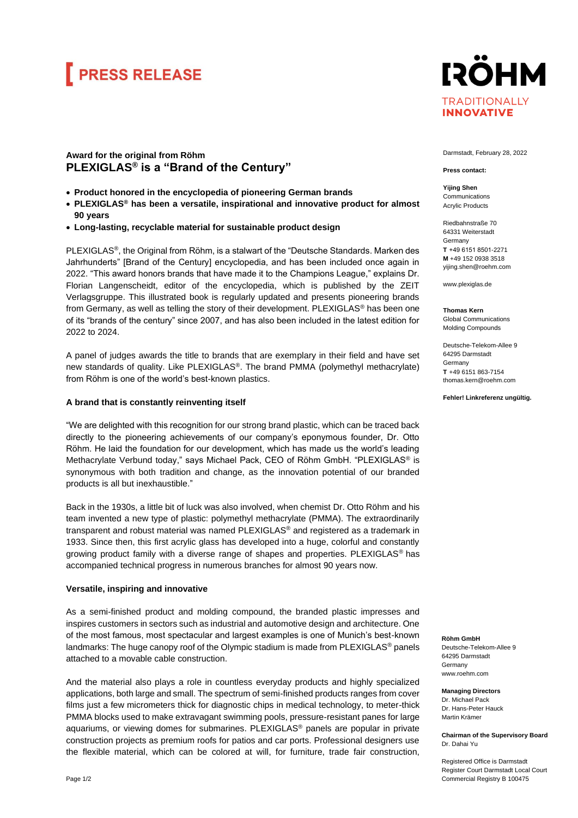## **FRESS RELEASE**



## **Award for the original from Röhm PLEXIGLAS® is a "Brand of the Century"**

- **Product honored in the encyclopedia of pioneering German brands**
- **PLEXIGLAS® has been a versatile, inspirational and innovative product for almost 90 years**
- **Long-lasting, recyclable material for sustainable product design**

PLEXIGLAS®, the Original from Röhm, is a stalwart of the "Deutsche Standards. Marken des Jahrhunderts" [Brand of the Century] encyclopedia, and has been included once again in 2022. "This award honors brands that have made it to the Champions League," explains Dr. Florian Langenscheidt, editor of the encyclopedia, which is published by the ZEIT Verlagsgruppe. This illustrated book is regularly updated and presents pioneering brands from Germany, as well as telling the story of their development. PLEXIGLAS® has been one of its "brands of the century" since 2007, and has also been included in the latest edition for 2022 to 2024.

A panel of judges awards the title to brands that are exemplary in their field and have set new standards of quality. Like PLEXIGLAS®. The brand PMMA (polymethyl methacrylate) from Röhm is one of the world's best-known plastics.

### **A brand that is constantly reinventing itself**

"We are delighted with this recognition for our strong brand plastic, which can be traced back directly to the pioneering achievements of our company's eponymous founder, Dr. Otto Röhm. He laid the foundation for our development, which has made us the world's leading Methacrylate Verbund today," says Michael Pack, CEO of Röhm GmbH. "PLEXIGLAS® is synonymous with both tradition and change, as the innovation potential of our branded products is all but inexhaustible."

Back in the 1930s, a little bit of luck was also involved, when chemist Dr. Otto Röhm and his team invented a new type of plastic: polymethyl methacrylate (PMMA). The extraordinarily transparent and robust material was named PLEXIGLAS® and registered as a trademark in 1933. Since then, this first acrylic glass has developed into a huge, colorful and constantly growing product family with a diverse range of shapes and properties. PLEXIGLAS® has accompanied technical progress in numerous branches for almost 90 years now.

### **Versatile, inspiring and innovative**

As a semi-finished product and molding compound, the branded plastic impresses and inspires customers in sectors such as industrial and automotive design and architecture. One of the most famous, most spectacular and largest examples is one of Munich's best-known landmarks: The huge canopy roof of the Olympic stadium is made from PLEXIGLAS<sup>®</sup> panels attached to a movable cable construction.

And the material also plays a role in countless everyday products and highly specialized applications, both large and small. The spectrum of semi-finished products ranges from cover films just a few micrometers thick for diagnostic chips in medical technology, to meter-thick PMMA blocks used to make extravagant swimming pools, pressure-resistant panes for large aquariums, or viewing domes for submarines. PLEXIGLAS® panels are popular in private construction projects as premium roofs for patios and car ports. Professional designers use the flexible material, which can be colored at will, for furniture, trade fair construction,

Darmstadt, February 28, 2022

**Press contact:**

**Yijing Shen** Communications Acrylic Products

Riedbahnstraße 70 64331 Weiterstadt Germany **T**  +49 6151 8501-2271 **M** +49 152 0938 3518 [yijing.shen@roehm.com](mailto:yijing.shen@roehm.com)

www.plexiglas.de

**Thomas Kern** Global Communications Molding Compounds

Deutsche-Telekom-Allee 9 64295 Darmstadt Germany **T** +49 6151 863-7154 thomas.kern@roehm.com

**Fehler! Linkreferenz ungültig.**

**Röhm GmbH**

Deutsche-Telekom-Allee 9 64295 Darmstadt **Germany** www.roehm.com

**Managing Directors** Dr. Michael Pack Dr. Hans-Peter Hauck Martin Krämer

**Chairman of the Supervisory Board** Dr. Dahai Yu

Registered Office is Darmstadt Register Court Darmstadt Local Court Commercial Registry B 100475